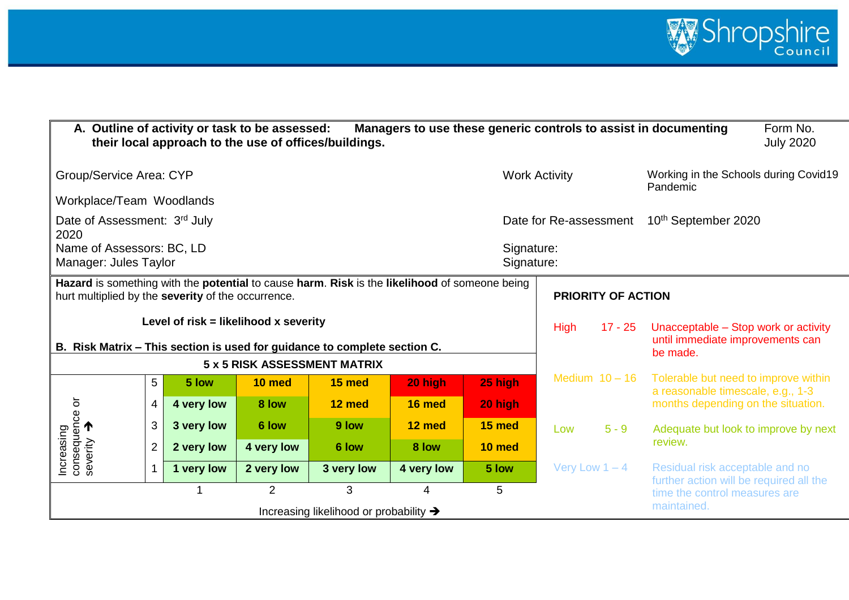

|                                                                                                                                                     |                |            | A. Outline of activity or task to be assessed: | their local approach to the use of offices/buildings. |                           |                          |                                                                                                      |                  | Managers to use these generic controls to assist in documenting            | Form No.<br><b>July 2020</b> |
|-----------------------------------------------------------------------------------------------------------------------------------------------------|----------------|------------|------------------------------------------------|-------------------------------------------------------|---------------------------|--------------------------|------------------------------------------------------------------------------------------------------|------------------|----------------------------------------------------------------------------|------------------------------|
| Group/Service Area: CYP                                                                                                                             |                |            |                                                |                                                       |                           |                          | <b>Work Activity</b>                                                                                 |                  | Working in the Schools during Covid19<br>Pandemic                          |                              |
| Workplace/Team Woodlands                                                                                                                            |                |            |                                                |                                                       |                           |                          |                                                                                                      |                  |                                                                            |                              |
| Date of Assessment: 3rd July<br>2020                                                                                                                |                |            |                                                |                                                       |                           |                          | Date for Re-assessment                                                                               |                  | 10 <sup>th</sup> September 2020                                            |                              |
| Name of Assessors: BC, LD<br>Manager: Jules Taylor                                                                                                  |                |            |                                                |                                                       |                           | Signature:<br>Signature: |                                                                                                      |                  |                                                                            |                              |
| Hazard is something with the potential to cause harm. Risk is the likelihood of someone being<br>hurt multiplied by the severity of the occurrence. |                |            |                                                |                                                       | <b>PRIORITY OF ACTION</b> |                          |                                                                                                      |                  |                                                                            |                              |
|                                                                                                                                                     |                |            | Level of risk = likelihood x severity          |                                                       |                           |                          | $17 - 25$<br>Unacceptable – Stop work or activity<br><b>High</b><br>until immediate improvements can |                  |                                                                            |                              |
| B. Risk Matrix - This section is used for guidance to complete section C.                                                                           |                |            |                                                |                                                       |                           |                          |                                                                                                      |                  | be made.                                                                   |                              |
|                                                                                                                                                     |                |            |                                                | 5 x 5 RISK ASSESSMENT MATRIX                          |                           |                          |                                                                                                      | Medium $10 - 16$ | Tolerable but need to improve within                                       |                              |
|                                                                                                                                                     | 5              | 5 low      | 10 med                                         | 15 med                                                | 20 high                   | 25 high                  |                                                                                                      |                  | a reasonable timescale, e.g., 1-3                                          |                              |
|                                                                                                                                                     | 4              | 4 very low | 8 low                                          | 12 med                                                | 16 med                    | 20 high                  |                                                                                                      |                  | months depending on the situation.                                         |                              |
| Increasing<br>consequence or<br>severity                                                                                                            | 3              | 3 very low | 6 low                                          | 9 low                                                 | 12 med                    | 15 med                   | Low                                                                                                  | $5 - 9$          | Adequate but look to improve by next                                       |                              |
|                                                                                                                                                     | $\overline{2}$ | 2 very low | 4 very low                                     | 6 low                                                 | 8 low                     | 10 med                   |                                                                                                      |                  | review.                                                                    |                              |
|                                                                                                                                                     |                | 1 very low | 2 very low                                     | 3 very low                                            | 4 very low                | 5 low                    | Very Low $1 - 4$                                                                                     |                  | Residual risk acceptable and no<br>further action will be required all the |                              |
|                                                                                                                                                     |                |            | $\overline{2}$                                 | 3                                                     | 4                         | 5                        |                                                                                                      |                  | time the control measures are                                              |                              |
|                                                                                                                                                     |                |            |                                                | Increasing likelihood or probability $\rightarrow$    |                           |                          |                                                                                                      |                  | maintained.                                                                |                              |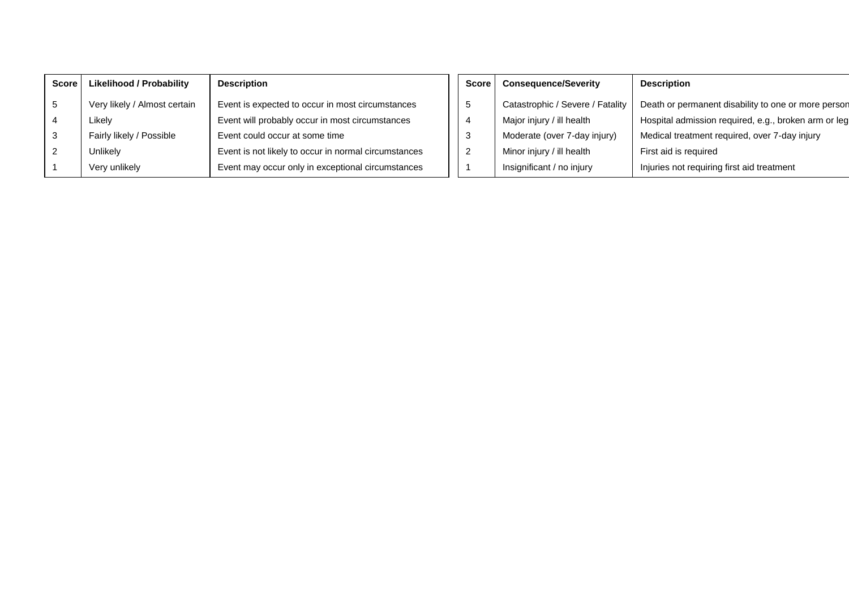| <b>Score</b> | <b>Likelihood / Probability</b> | <b>Description</b>                                   |
|--------------|---------------------------------|------------------------------------------------------|
| 5            | Very likely / Almost certain    | Event is expected to occur in most circumstances     |
| 4            | Likely                          | Event will probably occur in most circumstances      |
| 3            | Fairly likely / Possible        | Event could occur at some time                       |
| 2            | Unlikely                        | Event is not likely to occur in normal circumstances |
|              | Very unlikely                   | Event may occur only in exceptional circumstances    |

| <b>Score</b> | <b>Consequence/Severity</b>      | <b>Description</b>                                   |
|--------------|----------------------------------|------------------------------------------------------|
| 5            | Catastrophic / Severe / Fatality | Death or permanent disability to one or more person  |
| 4            | Major injury / ill health        | Hospital admission required, e.g., broken arm or leg |
| 3            | Moderate (over 7-day injury)     | Medical treatment required, over 7-day injury        |
| 2            | Minor injury / ill health        | First aid is required                                |
| 1            | Insignificant / no injury        | Injuries not requiring first aid treatment           |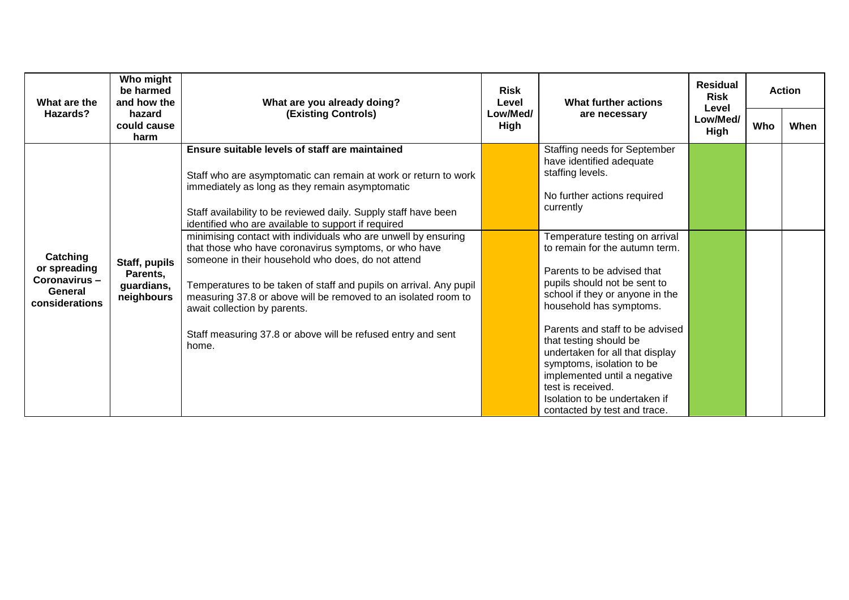| What are the                                                          | Who might<br>be harmed<br>and how the                 | What are you already doing?                                                                                                                                                                                                                                                                                                                                                                                               | <b>Risk</b><br>Level | What further actions                                                                                                                                                                                                                            | <b>Residual</b><br><b>Risk</b><br>Level |     | <b>Action</b> |
|-----------------------------------------------------------------------|-------------------------------------------------------|---------------------------------------------------------------------------------------------------------------------------------------------------------------------------------------------------------------------------------------------------------------------------------------------------------------------------------------------------------------------------------------------------------------------------|----------------------|-------------------------------------------------------------------------------------------------------------------------------------------------------------------------------------------------------------------------------------------------|-----------------------------------------|-----|---------------|
| Hazards?                                                              | hazard<br>could cause<br>harm                         | <b>(Existing Controls)</b>                                                                                                                                                                                                                                                                                                                                                                                                | Low/Med/<br>High     | are necessary                                                                                                                                                                                                                                   | Low/Med/<br>High                        | Who | When          |
|                                                                       |                                                       | Ensure suitable levels of staff are maintained<br>Staff who are asymptomatic can remain at work or return to work<br>immediately as long as they remain asymptomatic<br>Staff availability to be reviewed daily. Supply staff have been<br>identified who are available to support if required<br>minimising contact with individuals who are unwell by ensuring<br>that those who have coronavirus symptoms, or who have |                      | Staffing needs for September<br>have identified adequate<br>staffing levels.<br>No further actions required<br>currently<br>Temperature testing on arrival<br>to remain for the autumn term.                                                    |                                         |     |               |
| Catching<br>or spreading<br>Coronavirus-<br>General<br>considerations | Staff, pupils<br>Parents,<br>guardians,<br>neighbours | someone in their household who does, do not attend<br>Temperatures to be taken of staff and pupils on arrival. Any pupil<br>measuring 37.8 or above will be removed to an isolated room to<br>await collection by parents.                                                                                                                                                                                                |                      | Parents to be advised that<br>pupils should not be sent to<br>school if they or anyone in the<br>household has symptoms.                                                                                                                        |                                         |     |               |
|                                                                       |                                                       | Staff measuring 37.8 or above will be refused entry and sent<br>home.                                                                                                                                                                                                                                                                                                                                                     |                      | Parents and staff to be advised<br>that testing should be<br>undertaken for all that display<br>symptoms, isolation to be<br>implemented until a negative<br>test is received.<br>Isolation to be undertaken if<br>contacted by test and trace. |                                         |     |               |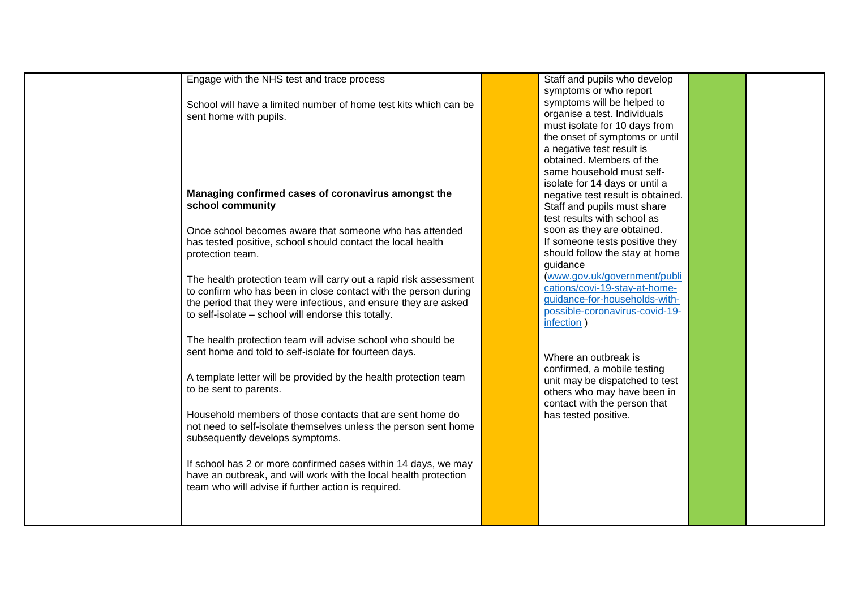| Engage with the NHS test and trace process                        | Staff and pupils who  |
|-------------------------------------------------------------------|-----------------------|
|                                                                   | symptoms or who re    |
| School will have a limited number of home test kits which can be  | symptoms will be he   |
| sent home with pupils.                                            | organise a test. Indi |
|                                                                   | must isolate for 10 o |
|                                                                   | the onset of sympto   |
|                                                                   | a negative test resu  |
|                                                                   | obtained. Members     |
|                                                                   |                       |
|                                                                   | same household mu     |
|                                                                   | isolate for 14 days o |
| Managing confirmed cases of coronavirus amongst the               | negative test result  |
| school community                                                  | Staff and pupils mus  |
|                                                                   | test results with sch |
| Once school becomes aware that someone who has attended           | soon as they are ob   |
| has tested positive, school should contact the local health       | If someone tests po   |
| protection team.                                                  | should follow the sta |
|                                                                   | guidance              |
| The health protection team will carry out a rapid risk assessment | www.gov.uk/govern     |
| to confirm who has been in close contact with the person during   | cations/covi-19-stay  |
| the period that they were infectious, and ensure they are asked   | guidance-for-housel   |
|                                                                   | possible-coronaviru   |
| to self-isolate - school will endorse this totally.               | infection)            |
|                                                                   |                       |
| The health protection team will advise school who should be       |                       |
| sent home and told to self-isolate for fourteen days.             | Where an outbreak     |
|                                                                   |                       |
| A template letter will be provided by the health protection team  | confirmed, a mobile   |
| to be sent to parents.                                            | unit may be dispatcl  |
|                                                                   | others who may hav    |
|                                                                   | contact with the per  |
| Household members of those contacts that are sent home do         | has tested positive.  |
| not need to self-isolate themselves unless the person sent home   |                       |
| subsequently develops symptoms.                                   |                       |
|                                                                   |                       |
| If school has 2 or more confirmed cases within 14 days, we may    |                       |
| have an outbreak, and will work with the local health protection  |                       |
| team who will advise if further action is required.               |                       |
|                                                                   |                       |
|                                                                   |                       |
|                                                                   |                       |
|                                                                   |                       |

Staff and pupils who develop symptoms or who report symptoms will be helped to ividuals must isolate for 10 days from the onset of symptoms or until ult is s of the ust selfor until a is obtained. ist share hool as btained.  $\overline{\phantom{a}}$  sositive they tay at home mment/publi [cations/covi-19-stay-at-home](http://www.gov.uk/government/publications/covi-19-stay-at-home-guidance-for-households-with-possible-coronavirus-covid-19-infection)[guidance-for-households-with-](http://www.gov.uk/government/publications/covi-19-stay-at-home-guidance-for-households-with-possible-coronavirus-covid-19-infection) $\overline{\text{us-covid-19}}$ -

 $\mathsf{is}$ testing  $ched$  to test ve been in rson that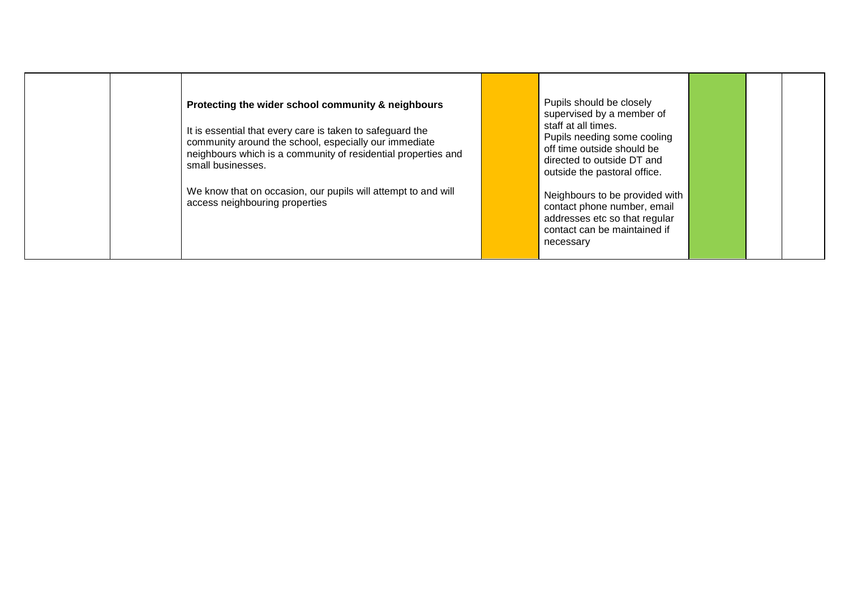| Protecting the wider school community & neighbours<br>It is essential that every care is taken to safeguard the<br>community around the school, especially our immediate<br>neighbours which is a community of residential properties and<br>small businesses. | Pupils should be closely<br>supervised by a member of<br>staff at all times.<br>Pupils needing some cooling<br>off time outside should be<br>directed to outside DT and<br>outside the pastoral office. |  |  |
|----------------------------------------------------------------------------------------------------------------------------------------------------------------------------------------------------------------------------------------------------------------|---------------------------------------------------------------------------------------------------------------------------------------------------------------------------------------------------------|--|--|
| We know that on occasion, our pupils will attempt to and will<br>access neighbouring properties                                                                                                                                                                | Neighbours to be provided with<br>contact phone number, email<br>addresses etc so that regular<br>contact can be maintained if<br>necessary                                                             |  |  |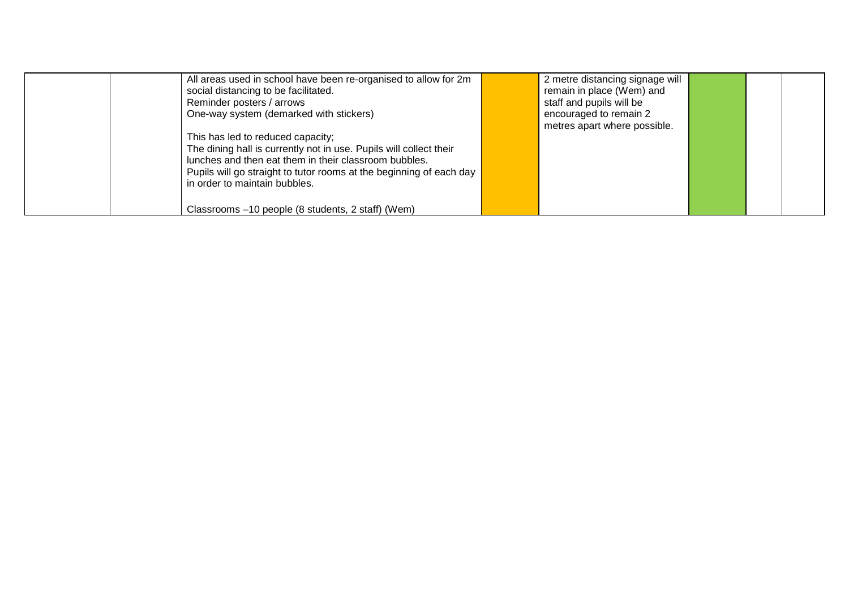| All areas used in school have been re-organised to allow for 2m<br>social distancing to be facilitated.<br>Reminder posters / arrows                                                                                                                                     | 2 metre distancing signage will<br>remain in place (Wem) and<br>staff and pupils will be |  |  |
|--------------------------------------------------------------------------------------------------------------------------------------------------------------------------------------------------------------------------------------------------------------------------|------------------------------------------------------------------------------------------|--|--|
| One-way system (demarked with stickers)                                                                                                                                                                                                                                  | encouraged to remain 2<br>metres apart where possible.                                   |  |  |
| This has led to reduced capacity;<br>The dining hall is currently not in use. Pupils will collect their<br>lunches and then eat them in their classroom bubbles.<br>Pupils will go straight to tutor rooms at the beginning of each day<br>in order to maintain bubbles. |                                                                                          |  |  |
| Classrooms -10 people (8 students, 2 staff) (Wem)                                                                                                                                                                                                                        |                                                                                          |  |  |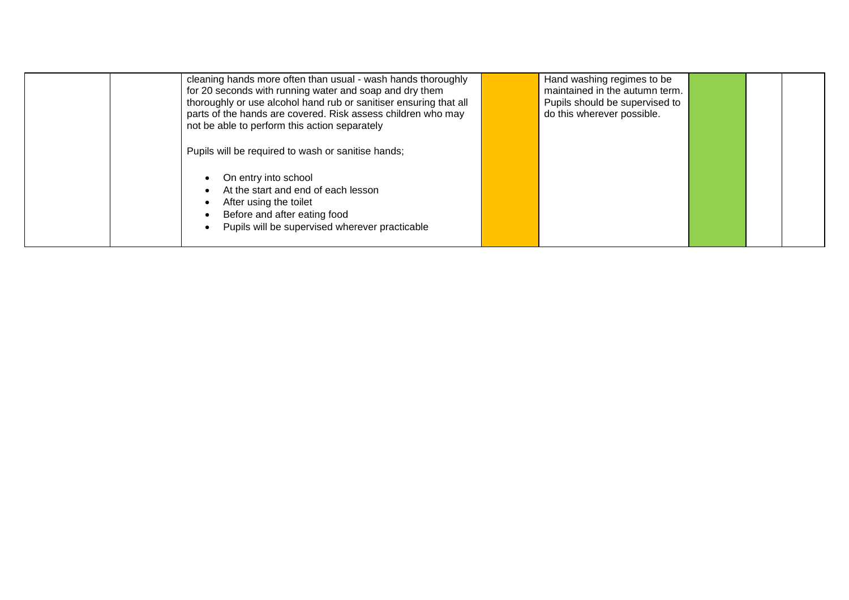| cleaning hands more often than usual - wash hands thoroughly<br>for 20 seconds with running water and soap and dry them<br>thoroughly or use alcohol hand rub or sanitiser ensuring that all<br>parts of the hands are covered. Risk assess children who may<br>not be able to perform this action separately | Hand washing regimes to be<br>maintained in the autumn term.<br>Pupils should be supervised to<br>do this wherever possible. |
|---------------------------------------------------------------------------------------------------------------------------------------------------------------------------------------------------------------------------------------------------------------------------------------------------------------|------------------------------------------------------------------------------------------------------------------------------|
| Pupils will be required to wash or sanitise hands;<br>On entry into school<br>At the start and end of each lesson<br>After using the toilet<br>Before and after eating food<br>Pupils will be supervised wherever practicable                                                                                 |                                                                                                                              |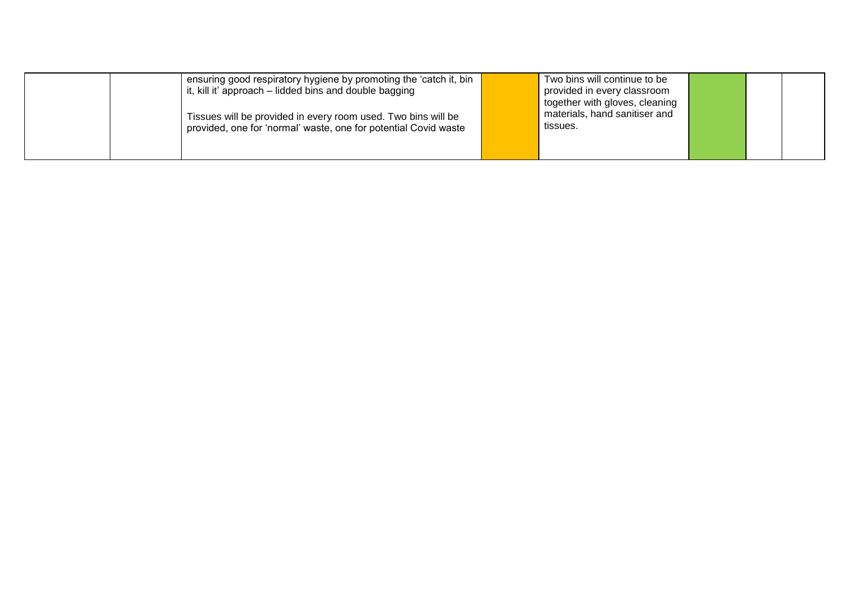| ensuring good respiratory hygiene by promoting the 'catch it, bin<br>it, kill it' approach – lidded bins and double bagging      | Two bins will continue to be<br>provided in every classroom<br>together with gloves, cleaning |  |  |
|----------------------------------------------------------------------------------------------------------------------------------|-----------------------------------------------------------------------------------------------|--|--|
| Tissues will be provided in every room used. Two bins will be<br>provided, one for 'normal' waste, one for potential Covid waste | materials, hand sanitiser and<br>tissues.                                                     |  |  |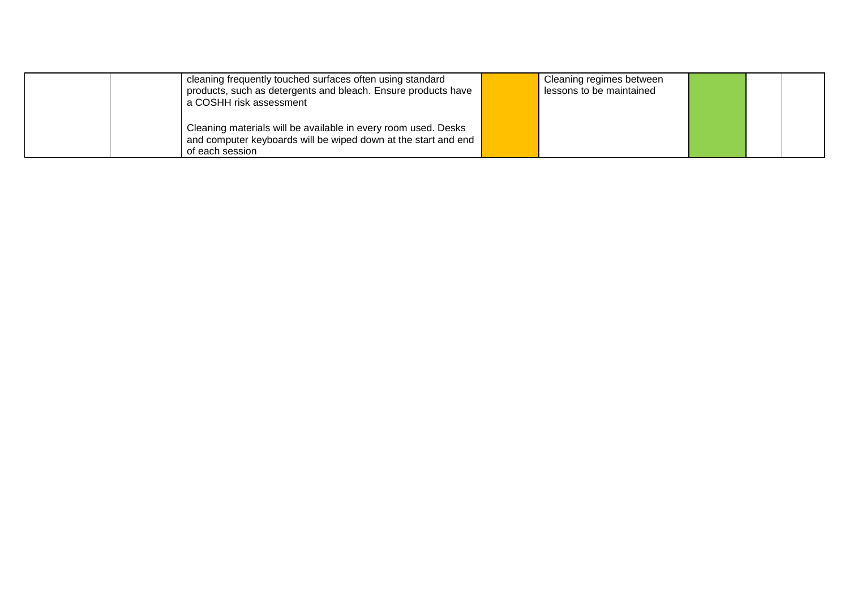|  | cleaning frequently touched surfaces often using standard      | Cleaning regimes between |  |  |
|--|----------------------------------------------------------------|--------------------------|--|--|
|  | products, such as detergents and bleach. Ensure products have  | lessons to be maintained |  |  |
|  | a COSHH risk assessment                                        |                          |  |  |
|  |                                                                |                          |  |  |
|  | Cleaning materials will be available in every room used. Desks |                          |  |  |
|  | and computer keyboards will be wiped down at the start and end |                          |  |  |
|  | of each session                                                |                          |  |  |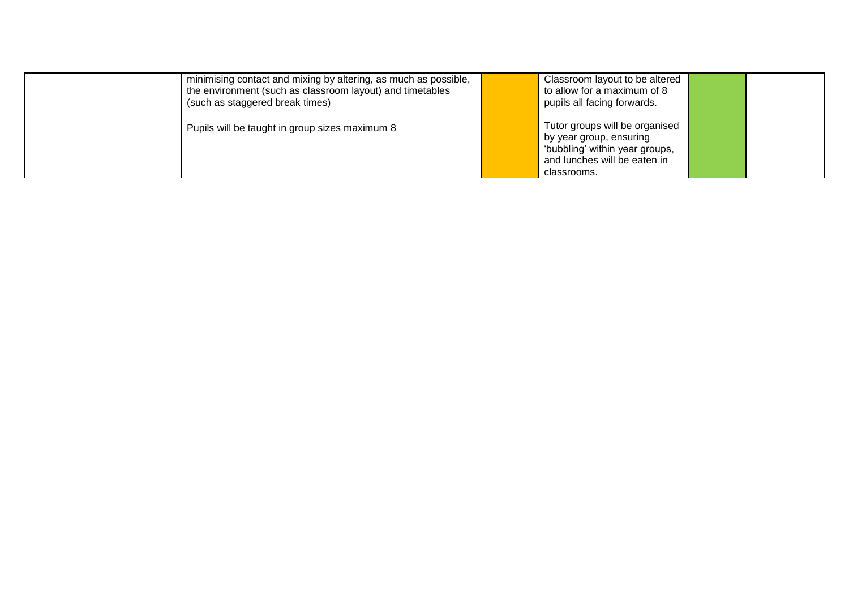| minimising contact and mixing by altering, as much as possible,<br>the environment (such as classroom layout) and timetables<br>(such as staggered break times) | Classroom layout to be altered<br>to allow for a maximum of 8<br>pupils all facing forwards.                                               |  |  |
|-----------------------------------------------------------------------------------------------------------------------------------------------------------------|--------------------------------------------------------------------------------------------------------------------------------------------|--|--|
| Pupils will be taught in group sizes maximum 8                                                                                                                  | Tutor groups will be organised<br>by year group, ensuring<br>'bubbling' within year groups,<br>and lunches will be eaten in<br>classrooms. |  |  |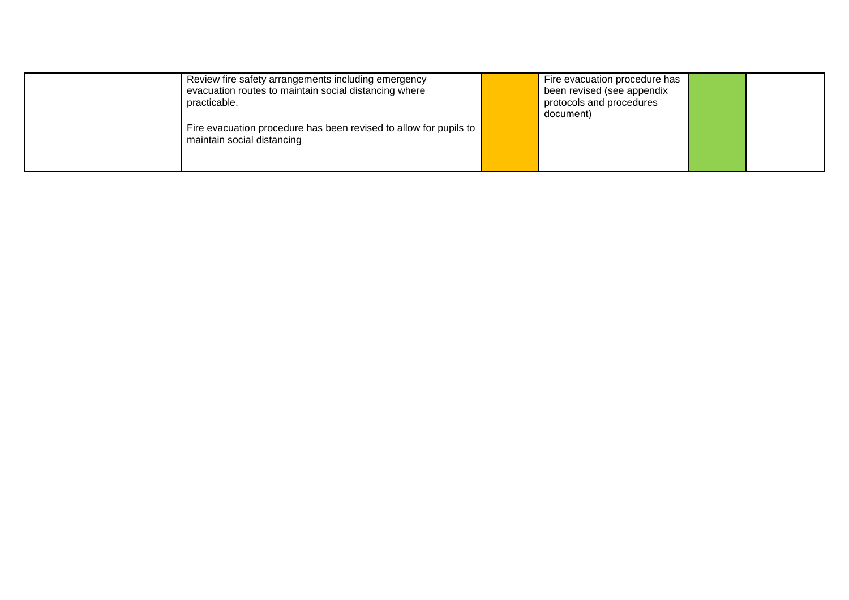| Review fire safety arrangements including emergency<br>evacuation routes to maintain social distancing where<br>practicable. | Fire evacuation procedure has<br>been revised (see appendix<br>protocols and procedures<br>document) |  |  |
|------------------------------------------------------------------------------------------------------------------------------|------------------------------------------------------------------------------------------------------|--|--|
| Fire evacuation procedure has been revised to allow for pupils to<br>maintain social distancing                              |                                                                                                      |  |  |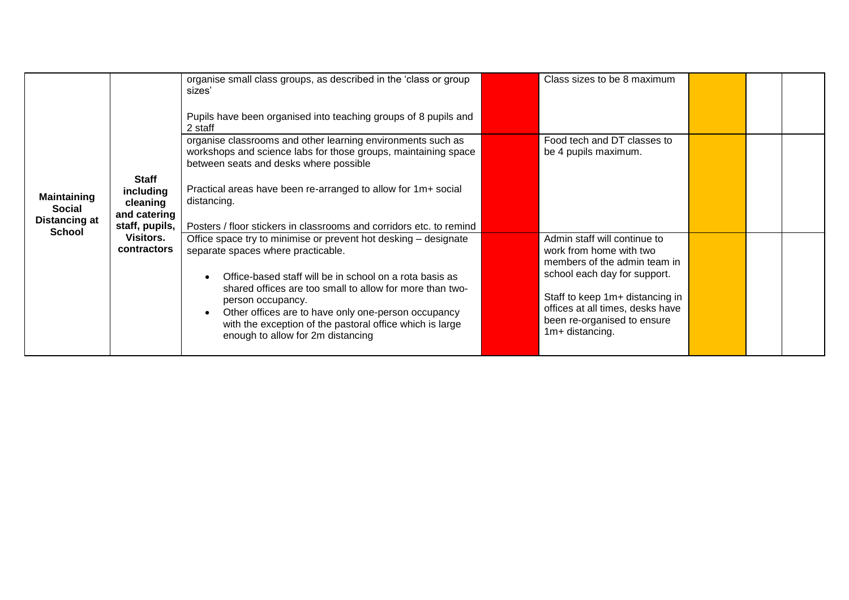|                                                      |                                                                                                            | organise small class groups, as described in the 'class or group<br>sizes'                                                                                                                                                                                                                       | Class sizes to be 8 maximum                                                                                           |  |  |
|------------------------------------------------------|------------------------------------------------------------------------------------------------------------|--------------------------------------------------------------------------------------------------------------------------------------------------------------------------------------------------------------------------------------------------------------------------------------------------|-----------------------------------------------------------------------------------------------------------------------|--|--|
| <b>Maintaining</b><br>Social<br><b>Distancing at</b> | <b>Staff</b><br>including<br>cleaning<br>and catering<br>staff, pupils,<br>Visitors.<br><b>contractors</b> | Pupils have been organised into teaching groups of 8 pupils and<br>2 staff                                                                                                                                                                                                                       |                                                                                                                       |  |  |
|                                                      |                                                                                                            | organise classrooms and other learning environments such as<br>workshops and science labs for those groups, maintaining space<br>between seats and desks where possible                                                                                                                          | Food tech and DT classes to<br>be 4 pupils maximum.                                                                   |  |  |
|                                                      |                                                                                                            | Practical areas have been re-arranged to allow for 1m+ social<br>distancing.                                                                                                                                                                                                                     |                                                                                                                       |  |  |
| <b>School</b>                                        |                                                                                                            | Posters / floor stickers in classrooms and corridors etc. to remind                                                                                                                                                                                                                              | Admin staff will continue to                                                                                          |  |  |
|                                                      |                                                                                                            | Office space try to minimise or prevent hot desking – designate<br>separate spaces where practicable.                                                                                                                                                                                            | work from home with two<br>members of the admin team in<br>school each day for support.                               |  |  |
|                                                      |                                                                                                            | Office-based staff will be in school on a rota basis as<br>shared offices are too small to allow for more than two-<br>person occupancy.<br>Other offices are to have only one-person occupancy<br>with the exception of the pastoral office which is large<br>enough to allow for 2m distancing | Staff to keep 1m+ distancing in<br>offices at all times, desks have<br>been re-organised to ensure<br>1m+ distancing. |  |  |
|                                                      |                                                                                                            |                                                                                                                                                                                                                                                                                                  |                                                                                                                       |  |  |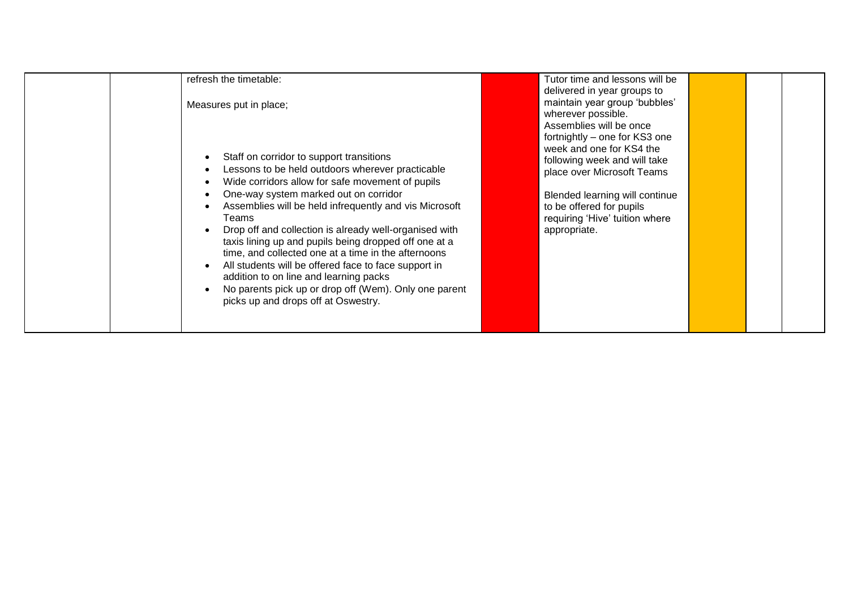| refresh the timetable:<br>Measures put in place;<br>Staff on corridor to support transitions<br>Lessons to be held outdoors wherever practicable<br>Wide corridors allow for safe movement of pupils<br>One-way system marked out on corridor<br>Assemblies will be held infrequently and vis Microsoft<br>Teams<br>Drop off and collection is already well-organised with<br>taxis lining up and pupils being dropped off one at a<br>time, and collected one at a time in the afternoons<br>All students will be offered face to face support in<br>addition to on line and learning packs<br>No parents pick up or drop off (Wem). Only one parent<br>picks up and drops off at Oswestry. | Tutor time and lessons will be<br>delivered in year groups to<br>maintain year group 'bubbles'<br>wherever possible.<br>Assemblies will be once<br>fortnightly - one for KS3 one<br>week and one for KS4 the<br>following week and will take<br>place over Microsoft Teams<br>Blended learning will continue<br>to be offered for pupils<br>requiring 'Hive' tuition where<br>appropriate. |
|----------------------------------------------------------------------------------------------------------------------------------------------------------------------------------------------------------------------------------------------------------------------------------------------------------------------------------------------------------------------------------------------------------------------------------------------------------------------------------------------------------------------------------------------------------------------------------------------------------------------------------------------------------------------------------------------|--------------------------------------------------------------------------------------------------------------------------------------------------------------------------------------------------------------------------------------------------------------------------------------------------------------------------------------------------------------------------------------------|
|----------------------------------------------------------------------------------------------------------------------------------------------------------------------------------------------------------------------------------------------------------------------------------------------------------------------------------------------------------------------------------------------------------------------------------------------------------------------------------------------------------------------------------------------------------------------------------------------------------------------------------------------------------------------------------------------|--------------------------------------------------------------------------------------------------------------------------------------------------------------------------------------------------------------------------------------------------------------------------------------------------------------------------------------------------------------------------------------------|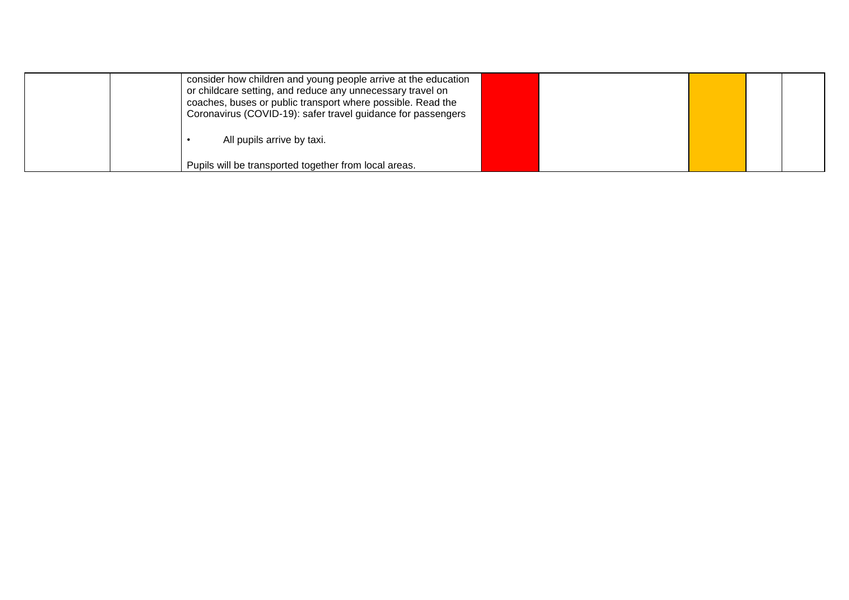| consider how children and young people arrive at the education<br>or childcare setting, and reduce any unnecessary travel on<br>coaches, buses or public transport where possible. Read the<br>Coronavirus (COVID-19): safer travel guidance for passengers |  |  |  |
|-------------------------------------------------------------------------------------------------------------------------------------------------------------------------------------------------------------------------------------------------------------|--|--|--|
| All pupils arrive by taxi.                                                                                                                                                                                                                                  |  |  |  |
| Pupils will be transported together from local areas.                                                                                                                                                                                                       |  |  |  |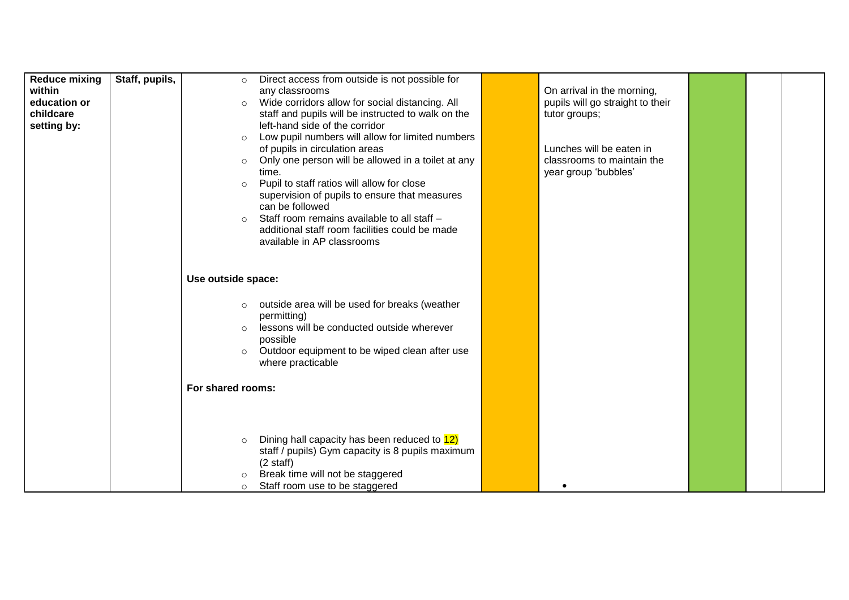| <b>Reduce mixing</b><br>within<br>education or<br>childcare<br>setting by: | Staff, pupils, | Direct access from outside is not possible for<br>$\circ$<br>any classrooms<br>Wide corridors allow for social distancing. All<br>$\circ$<br>staff and pupils will be instructed to walk on the<br>left-hand side of the corridor<br>Low pupil numbers will allow for limited numbers<br>$\circ$<br>of pupils in circulation areas<br>Only one person will be allowed in a toilet at any<br>$\circ$<br>time.<br>Pupil to staff ratios will allow for close<br>$\circ$<br>supervision of pupils to ensure that measures<br>can be followed<br>Staff room remains available to all staff -<br>$\circ$<br>additional staff room facilities could be made<br>available in AP classrooms | On arrival in the morning,<br>pupils will go straight to their<br>tutor groups;<br>Lunches will be eaten in<br>classrooms to maintain the<br>year group 'bubbles' |  |  |
|----------------------------------------------------------------------------|----------------|-------------------------------------------------------------------------------------------------------------------------------------------------------------------------------------------------------------------------------------------------------------------------------------------------------------------------------------------------------------------------------------------------------------------------------------------------------------------------------------------------------------------------------------------------------------------------------------------------------------------------------------------------------------------------------------|-------------------------------------------------------------------------------------------------------------------------------------------------------------------|--|--|
|                                                                            |                | Use outside space:                                                                                                                                                                                                                                                                                                                                                                                                                                                                                                                                                                                                                                                                  |                                                                                                                                                                   |  |  |
|                                                                            |                | outside area will be used for breaks (weather<br>$\circ$<br>permitting)<br>lessons will be conducted outside wherever<br>$\circ$<br>possible<br>Outdoor equipment to be wiped clean after use<br>$\circ$<br>where practicable                                                                                                                                                                                                                                                                                                                                                                                                                                                       |                                                                                                                                                                   |  |  |
|                                                                            |                | For shared rooms:                                                                                                                                                                                                                                                                                                                                                                                                                                                                                                                                                                                                                                                                   |                                                                                                                                                                   |  |  |
|                                                                            |                | Dining hall capacity has been reduced to 12)<br>$\circ$<br>staff / pupils) Gym capacity is 8 pupils maximum<br>$(2 \text{ staff})$<br>Break time will not be staggered<br>$\circ$<br>Staff room use to be staggered<br>$\circ$                                                                                                                                                                                                                                                                                                                                                                                                                                                      |                                                                                                                                                                   |  |  |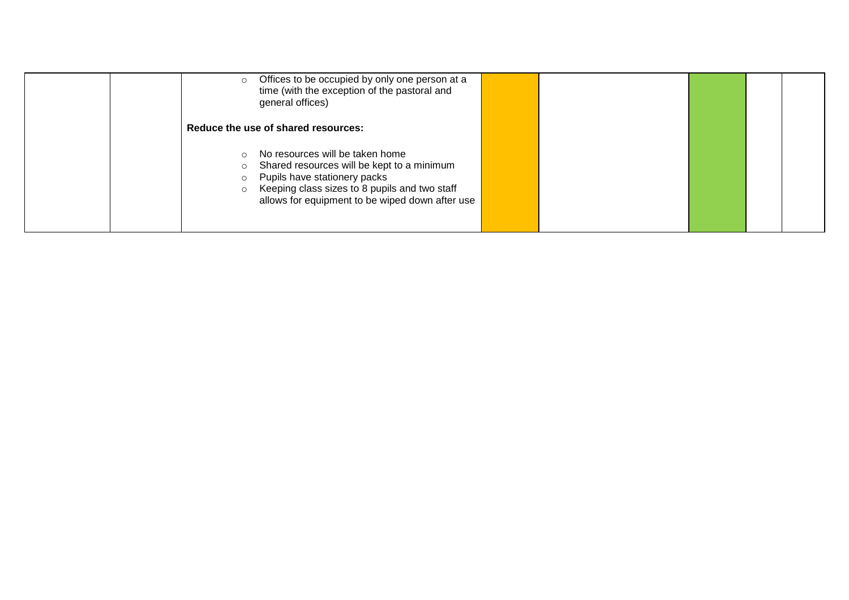| Offices to be occupied by only one person at a<br>$\circ$<br>time (with the exception of the pastoral and<br>general offices)                                                                                                                           |  |  |  |
|---------------------------------------------------------------------------------------------------------------------------------------------------------------------------------------------------------------------------------------------------------|--|--|--|
| Reduce the use of shared resources:                                                                                                                                                                                                                     |  |  |  |
| No resources will be taken home<br>$\circ$<br>Shared resources will be kept to a minimum<br>Ω<br>Pupils have stationery packs<br>$\circ$<br>Keeping class sizes to 8 pupils and two staff<br>$\circ$<br>allows for equipment to be wiped down after use |  |  |  |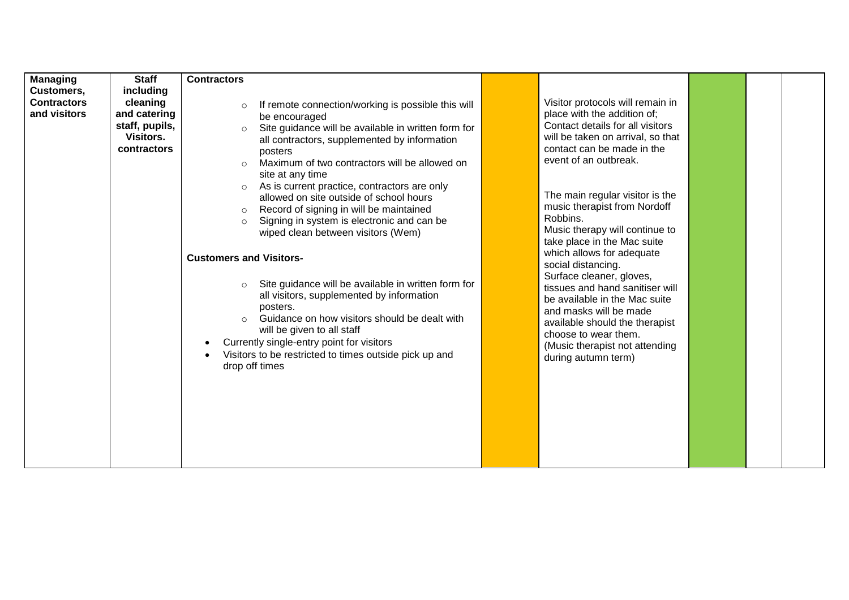| <b>Managing</b>    | <b>Staff</b>     | <b>Contractors</b>             |                                                           |                                   |  |
|--------------------|------------------|--------------------------------|-----------------------------------------------------------|-----------------------------------|--|
| Customers,         | including        |                                |                                                           |                                   |  |
| <b>Contractors</b> | cleaning         | $\circ$                        | If remote connection/working is possible this will        | Visitor protocols will remain in  |  |
| and visitors       | and catering     |                                | be encouraged                                             | place with the addition of;       |  |
|                    | staff, pupils,   | $\circ$                        | Site guidance will be available in written form for       | Contact details for all visitors  |  |
|                    | <b>Visitors.</b> |                                | all contractors, supplemented by information              | will be taken on arrival, so that |  |
|                    | contractors      |                                | posters                                                   | contact can be made in the        |  |
|                    |                  | $\circ$                        | Maximum of two contractors will be allowed on             | event of an outbreak.             |  |
|                    |                  |                                | site at any time                                          |                                   |  |
|                    |                  | $\circ$                        | As is current practice, contractors are only              |                                   |  |
|                    |                  |                                | allowed on site outside of school hours                   | The main regular visitor is the   |  |
|                    |                  | $\circ$                        | Record of signing in will be maintained                   | music therapist from Nordoff      |  |
|                    |                  | $\circ$                        | Signing in system is electronic and can be                | Robbins.                          |  |
|                    |                  |                                | wiped clean between visitors (Wem)                        | Music therapy will continue to    |  |
|                    |                  |                                |                                                           | take place in the Mac suite       |  |
|                    |                  | <b>Customers and Visitors-</b> |                                                           | which allows for adequate         |  |
|                    |                  |                                |                                                           | social distancing.                |  |
|                    |                  |                                |                                                           | Surface cleaner, gloves,          |  |
|                    |                  |                                | Site guidance will be available in written form for       | tissues and hand sanitiser will   |  |
|                    |                  |                                | all visitors, supplemented by information                 | be available in the Mac suite     |  |
|                    |                  |                                | posters.<br>Guidance on how visitors should be dealt with | and masks will be made            |  |
|                    |                  |                                |                                                           | available should the therapist    |  |
|                    |                  |                                | will be given to all staff                                | choose to wear them.              |  |
|                    |                  |                                | Currently single-entry point for visitors                 | (Music therapist not attending    |  |
|                    |                  |                                | Visitors to be restricted to times outside pick up and    | during autumn term)               |  |
|                    |                  |                                | drop off times                                            |                                   |  |
|                    |                  |                                |                                                           |                                   |  |
|                    |                  |                                |                                                           |                                   |  |
|                    |                  |                                |                                                           |                                   |  |
|                    |                  |                                |                                                           |                                   |  |
|                    |                  |                                |                                                           |                                   |  |
|                    |                  |                                |                                                           |                                   |  |
|                    |                  |                                |                                                           |                                   |  |
|                    |                  |                                |                                                           |                                   |  |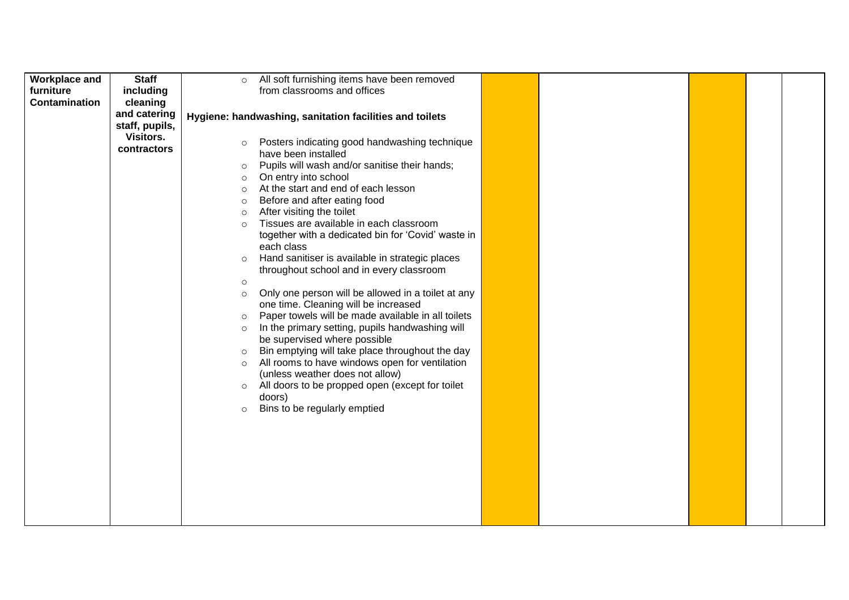| <b>Workplace and</b> | <b>Staff</b>     | $\circ$ | All soft furnishing items have been removed             |  |  |  |
|----------------------|------------------|---------|---------------------------------------------------------|--|--|--|
| furniture            | including        |         | from classrooms and offices                             |  |  |  |
| <b>Contamination</b> | cleaning         |         |                                                         |  |  |  |
|                      | and catering     |         |                                                         |  |  |  |
|                      | staff, pupils,   |         | Hygiene: handwashing, sanitation facilities and toilets |  |  |  |
|                      | <b>Visitors.</b> |         |                                                         |  |  |  |
|                      | contractors      | $\circ$ | Posters indicating good handwashing technique           |  |  |  |
|                      |                  |         | have been installed                                     |  |  |  |
|                      |                  | $\circ$ | Pupils will wash and/or sanitise their hands;           |  |  |  |
|                      |                  | $\circ$ | On entry into school                                    |  |  |  |
|                      |                  | $\circ$ | At the start and end of each lesson                     |  |  |  |
|                      |                  | $\circ$ | Before and after eating food                            |  |  |  |
|                      |                  | $\circ$ | After visiting the toilet                               |  |  |  |
|                      |                  | $\circ$ | Tissues are available in each classroom                 |  |  |  |
|                      |                  |         | together with a dedicated bin for 'Covid' waste in      |  |  |  |
|                      |                  |         | each class                                              |  |  |  |
|                      |                  | $\circ$ | Hand sanitiser is available in strategic places         |  |  |  |
|                      |                  |         | throughout school and in every classroom                |  |  |  |
|                      |                  | $\circ$ |                                                         |  |  |  |
|                      |                  | $\circ$ | Only one person will be allowed in a toilet at any      |  |  |  |
|                      |                  |         | one time. Cleaning will be increased                    |  |  |  |
|                      |                  | $\circ$ | Paper towels will be made available in all toilets      |  |  |  |
|                      |                  | $\circ$ | In the primary setting, pupils handwashing will         |  |  |  |
|                      |                  |         | be supervised where possible                            |  |  |  |
|                      |                  | $\circ$ | Bin emptying will take place throughout the day         |  |  |  |
|                      |                  | $\circ$ | All rooms to have windows open for ventilation          |  |  |  |
|                      |                  |         | (unless weather does not allow)                         |  |  |  |
|                      |                  | $\circ$ | All doors to be propped open (except for toilet         |  |  |  |
|                      |                  |         | doors)                                                  |  |  |  |
|                      |                  | $\circ$ | Bins to be regularly emptied                            |  |  |  |
|                      |                  |         |                                                         |  |  |  |
|                      |                  |         |                                                         |  |  |  |
|                      |                  |         |                                                         |  |  |  |
|                      |                  |         |                                                         |  |  |  |
|                      |                  |         |                                                         |  |  |  |
|                      |                  |         |                                                         |  |  |  |
|                      |                  |         |                                                         |  |  |  |
|                      |                  |         |                                                         |  |  |  |
|                      |                  |         |                                                         |  |  |  |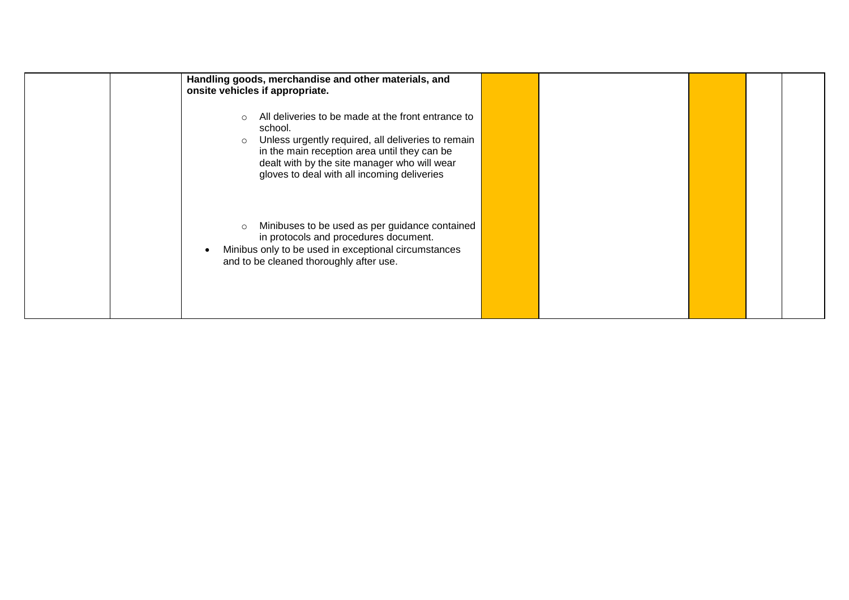| Handling goods, merchandise and other materials, and<br>onsite vehicles if appropriate.                                                                                                                                                                                                     |  |  |  |
|---------------------------------------------------------------------------------------------------------------------------------------------------------------------------------------------------------------------------------------------------------------------------------------------|--|--|--|
| All deliveries to be made at the front entrance to<br>$\bigcirc$<br>school.<br>Unless urgently required, all deliveries to remain<br>$\circ$<br>in the main reception area until they can be<br>dealt with by the site manager who will wear<br>gloves to deal with all incoming deliveries |  |  |  |
| Minibuses to be used as per guidance contained<br>$\circ$<br>in protocols and procedures document.<br>Minibus only to be used in exceptional circumstances<br>and to be cleaned thoroughly after use.                                                                                       |  |  |  |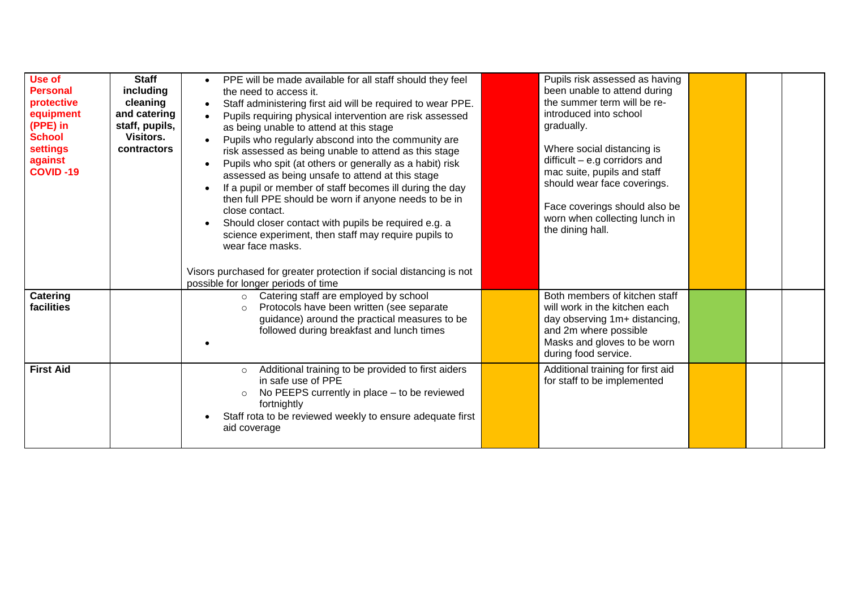| Use of<br><b>Personal</b><br>protective<br>equipment<br>(PPE) in<br><b>School</b><br>settings<br>against<br><b>COVID-19</b> | <b>Staff</b><br>including<br>cleaning<br>and catering<br>staff, pupils,<br>Visitors.<br>contractors | PPE will be made available for all staff should they feel<br>the need to access it.<br>Staff administering first aid will be required to wear PPE.<br>Pupils requiring physical intervention are risk assessed<br>as being unable to attend at this stage<br>Pupils who regularly abscond into the community are<br>risk assessed as being unable to attend as this stage<br>Pupils who spit (at others or generally as a habit) risk<br>assessed as being unsafe to attend at this stage<br>If a pupil or member of staff becomes ill during the day<br>then full PPE should be worn if anyone needs to be in<br>close contact.<br>Should closer contact with pupils be required e.g. a<br>science experiment, then staff may require pupils to<br>wear face masks.<br>Visors purchased for greater protection if social distancing is not<br>possible for longer periods of time | Pupils risk assessed as having<br>been unable to attend during<br>the summer term will be re-<br>introduced into school<br>gradually.<br>Where social distancing is<br>$difficult - e.g corridors and$<br>mac suite, pupils and staff<br>should wear face coverings.<br>Face coverings should also be<br>worn when collecting lunch in<br>the dining hall. |  |  |
|-----------------------------------------------------------------------------------------------------------------------------|-----------------------------------------------------------------------------------------------------|------------------------------------------------------------------------------------------------------------------------------------------------------------------------------------------------------------------------------------------------------------------------------------------------------------------------------------------------------------------------------------------------------------------------------------------------------------------------------------------------------------------------------------------------------------------------------------------------------------------------------------------------------------------------------------------------------------------------------------------------------------------------------------------------------------------------------------------------------------------------------------|------------------------------------------------------------------------------------------------------------------------------------------------------------------------------------------------------------------------------------------------------------------------------------------------------------------------------------------------------------|--|--|
| Catering<br>facilities                                                                                                      |                                                                                                     | o Catering staff are employed by school<br>Protocols have been written (see separate<br>$\circ$<br>guidance) around the practical measures to be<br>followed during breakfast and lunch times                                                                                                                                                                                                                                                                                                                                                                                                                                                                                                                                                                                                                                                                                      | Both members of kitchen staff<br>will work in the kitchen each<br>day observing 1m+ distancing,<br>and 2m where possible<br>Masks and gloves to be worn<br>during food service.                                                                                                                                                                            |  |  |
| <b>First Aid</b>                                                                                                            |                                                                                                     | Additional training to be provided to first aiders<br>$\circ$<br>in safe use of PPE<br>No PEEPS currently in place - to be reviewed<br>$\circ$<br>fortnightly<br>Staff rota to be reviewed weekly to ensure adequate first<br>aid coverage                                                                                                                                                                                                                                                                                                                                                                                                                                                                                                                                                                                                                                         | Additional training for first aid<br>for staff to be implemented                                                                                                                                                                                                                                                                                           |  |  |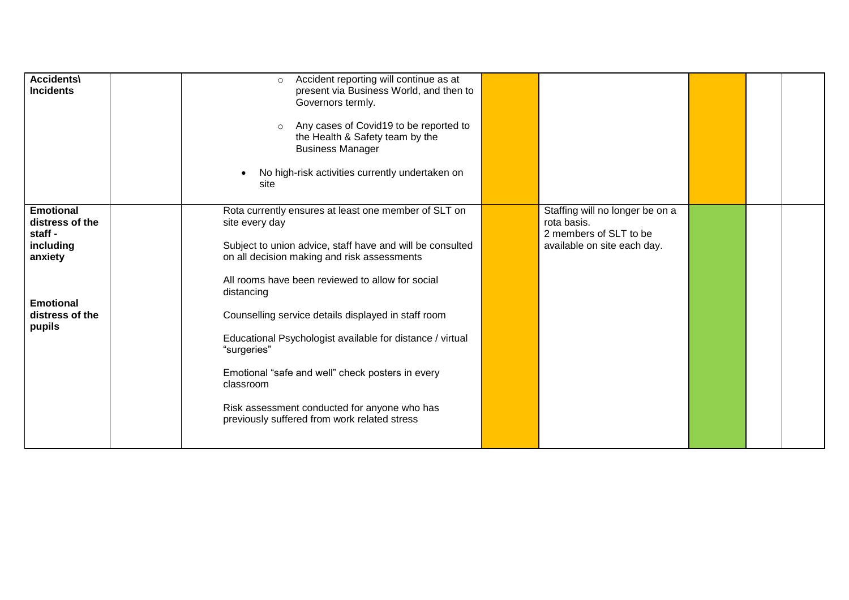| <b>Accidents\</b><br><b>Incidents</b>                                                                                   | Accident reporting will continue as at<br>$\circ$<br>present via Business World, and then to<br>Governors termly.<br>Any cases of Covid19 to be reported to<br>$\circ$<br>the Health & Safety team by the<br><b>Business Manager</b><br>No high-risk activities currently undertaken on<br>site                                                                                                                                                                                                                                                          |                                                                                                         |  |  |
|-------------------------------------------------------------------------------------------------------------------------|----------------------------------------------------------------------------------------------------------------------------------------------------------------------------------------------------------------------------------------------------------------------------------------------------------------------------------------------------------------------------------------------------------------------------------------------------------------------------------------------------------------------------------------------------------|---------------------------------------------------------------------------------------------------------|--|--|
| <b>Emotional</b><br>distress of the<br>staff -<br>including<br>anxiety<br><b>Emotional</b><br>distress of the<br>pupils | Rota currently ensures at least one member of SLT on<br>site every day<br>Subject to union advice, staff have and will be consulted<br>on all decision making and risk assessments<br>All rooms have been reviewed to allow for social<br>distancing<br>Counselling service details displayed in staff room<br>Educational Psychologist available for distance / virtual<br>"surgeries"<br>Emotional "safe and well" check posters in every<br>classroom<br>Risk assessment conducted for anyone who has<br>previously suffered from work related stress | Staffing will no longer be on a<br>rota basis.<br>2 members of SLT to be<br>available on site each day. |  |  |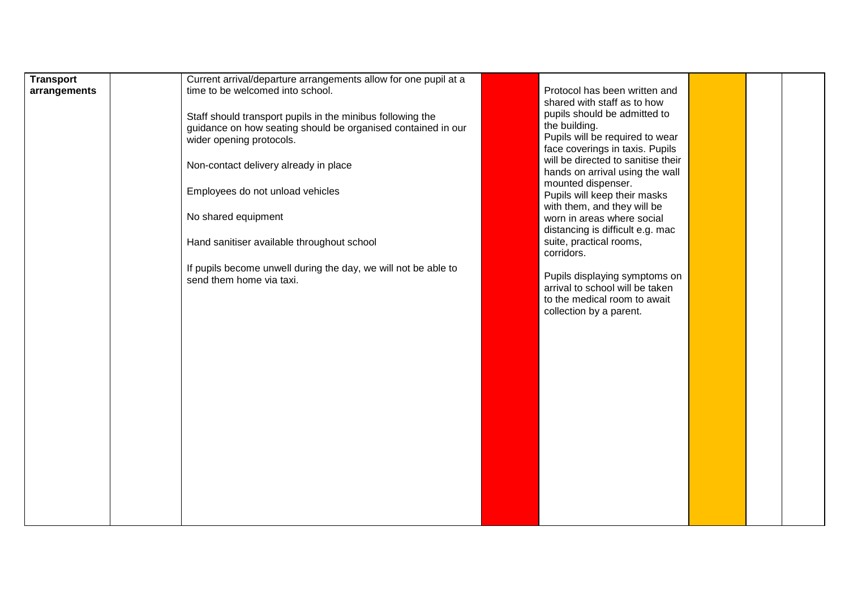| <b>Transport</b><br>arrangements | Current arrival/departure arrangements allow for one pupil at a<br>time to be welcomed into school.<br>Staff should transport pupils in the minibus following the<br>guidance on how seating should be organised contained in our<br>wider opening protocols. | Protocol has been written and<br>shared with staff as to how<br>pupils should be admitted to<br>the building.<br>Pupils will be required to wear<br>face coverings in taxis. Pupils |  |  |
|----------------------------------|---------------------------------------------------------------------------------------------------------------------------------------------------------------------------------------------------------------------------------------------------------------|-------------------------------------------------------------------------------------------------------------------------------------------------------------------------------------|--|--|
|                                  | Non-contact delivery already in place                                                                                                                                                                                                                         | will be directed to sanitise their<br>hands on arrival using the wall                                                                                                               |  |  |
|                                  | Employees do not unload vehicles                                                                                                                                                                                                                              | mounted dispenser.<br>Pupils will keep their masks<br>with them, and they will be                                                                                                   |  |  |
|                                  | No shared equipment                                                                                                                                                                                                                                           | worn in areas where social<br>distancing is difficult e.g. mac                                                                                                                      |  |  |
|                                  | Hand sanitiser available throughout school                                                                                                                                                                                                                    | suite, practical rooms,<br>corridors.                                                                                                                                               |  |  |
|                                  | If pupils become unwell during the day, we will not be able to<br>send them home via taxi.                                                                                                                                                                    | Pupils displaying symptoms on<br>arrival to school will be taken<br>to the medical room to await<br>collection by a parent.                                                         |  |  |
|                                  |                                                                                                                                                                                                                                                               |                                                                                                                                                                                     |  |  |
|                                  |                                                                                                                                                                                                                                                               |                                                                                                                                                                                     |  |  |
|                                  |                                                                                                                                                                                                                                                               |                                                                                                                                                                                     |  |  |
|                                  |                                                                                                                                                                                                                                                               |                                                                                                                                                                                     |  |  |
|                                  |                                                                                                                                                                                                                                                               |                                                                                                                                                                                     |  |  |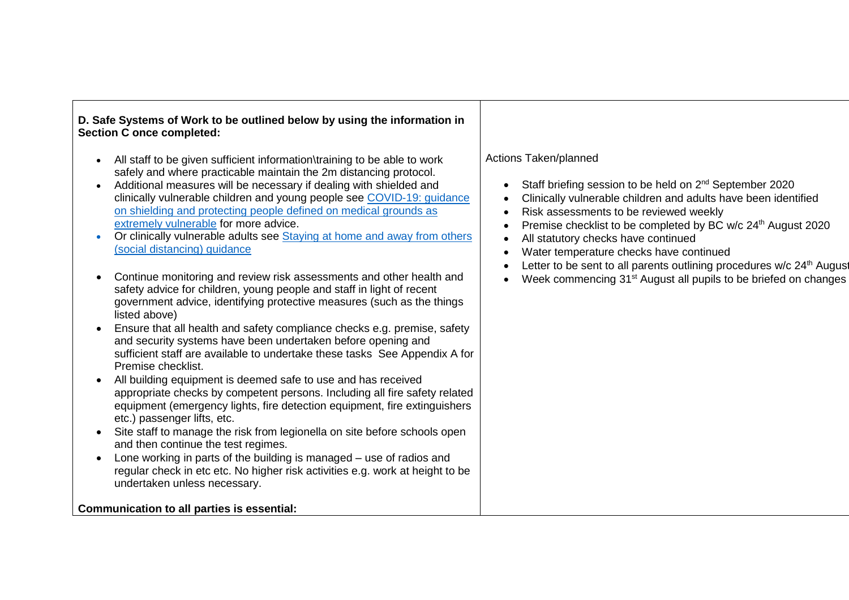## **D. Safe Systems of Work to be outlined below by using the information in Section C once completed:**

- All staff to be given sufficient information\training to be able to work safely and where practicable maintain the 2m distancing protocol.
- Additional measures will be necessary if dealing with shielded and clinically vulnerable children and young people see [COVID-19: guidance](https://www.gov.uk/government/publications/guidance-on-shielding-and-protecting-extremely-vulnerable-persons-from-covid-19)  [on shielding and protecting people defined on medical grounds as](https://www.gov.uk/government/publications/guidance-on-shielding-and-protecting-extremely-vulnerable-persons-from-covid-19)  [extremely vulnerable](https://www.gov.uk/government/publications/guidance-on-shielding-and-protecting-extremely-vulnerable-persons-from-covid-19) for more advice.
- Or clinically vulnerable adults see Staying at home and away from others [\(social distancing\) guidance](https://www.gov.uk/government/publications/staying-alert-and-safe-social-distancing/staying-alert-and-safe-social-distancing#clinically-vulnerable-people)
- Continue monitoring and review risk assessments and other health and safety advice for children, young people and staff in light of recent government advice, identifying protective measures (such as the things listed above)
- Ensure that all health and safety compliance checks e.g. premise, safety and security systems have been undertaken before opening and sufficient staff are available to undertake these tasks See Appendix A for Premise checklist.
- All building equipment is deemed safe to use and has received appropriate checks by competent persons. Including all fire safety related equipment (emergency lights, fire detection equipment, fire extinguishers etc.) passenger lifts, etc.
- Site staff to manage the risk from legionella on site before schools open and then continue the test regimes.
- Lone working in parts of the building is managed use of radios and regular check in etc etc. No higher risk activities e.g. work at height to be undertaken unless necessary.

**Communication to all parties is essential:**

## Actions Taken/planned

- Staff briefing session to be held on 2<sup>nd</sup> September 2020
- Clinically vulnerable children and adults have been identified
- Risk assessments to be reviewed weekly
- Premise checklist to be completed by BC w/c 24<sup>th</sup> August 2020
- All statutory checks have continued
- Water temperature checks have continued
- Letter to be sent to all parents outlining procedures  $w/c$  24<sup>th</sup> August
- Week commencing 31<sup>st</sup> August all pupils to be briefed on changes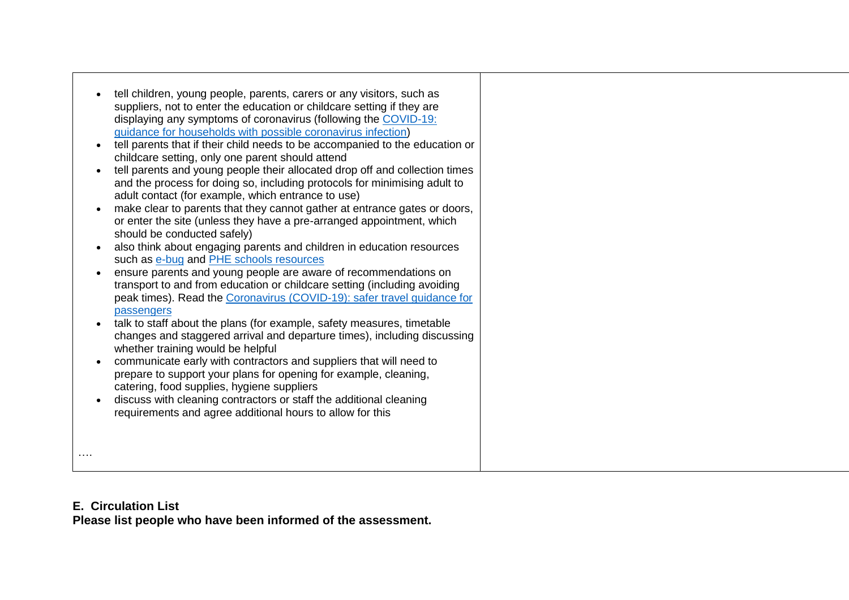| $\bullet$<br>$\bullet$<br>$\bullet$<br>$\bullet$<br>$\bullet$<br>$\bullet$ | tell children, young people, parents, carers or any visitors, such as<br>suppliers, not to enter the education or childcare setting if they are<br>displaying any symptoms of coronavirus (following the COVID-19:<br>guidance for households with possible coronavirus infection)<br>tell parents that if their child needs to be accompanied to the education or<br>childcare setting, only one parent should attend<br>tell parents and young people their allocated drop off and collection times<br>and the process for doing so, including protocols for minimising adult to<br>adult contact (for example, which entrance to use)<br>make clear to parents that they cannot gather at entrance gates or doors,<br>or enter the site (unless they have a pre-arranged appointment, which<br>should be conducted safely)<br>also think about engaging parents and children in education resources<br>such as e-bug and PHE schools resources<br>ensure parents and young people are aware of recommendations on<br>transport to and from education or childcare setting (including avoiding<br>peak times). Read the Coronavirus (COVID-19): safer travel guidance for<br>passengers<br>talk to staff about the plans (for example, safety measures, timetable<br>changes and staggered arrival and departure times), including discussing<br>whether training would be helpful<br>communicate early with contractors and suppliers that will need to<br>prepare to support your plans for opening for example, cleaning,<br>catering, food supplies, hygiene suppliers<br>discuss with cleaning contractors or staff the additional cleaning<br>requirements and agree additional hours to allow for this |
|----------------------------------------------------------------------------|-----------------------------------------------------------------------------------------------------------------------------------------------------------------------------------------------------------------------------------------------------------------------------------------------------------------------------------------------------------------------------------------------------------------------------------------------------------------------------------------------------------------------------------------------------------------------------------------------------------------------------------------------------------------------------------------------------------------------------------------------------------------------------------------------------------------------------------------------------------------------------------------------------------------------------------------------------------------------------------------------------------------------------------------------------------------------------------------------------------------------------------------------------------------------------------------------------------------------------------------------------------------------------------------------------------------------------------------------------------------------------------------------------------------------------------------------------------------------------------------------------------------------------------------------------------------------------------------------------------------------------------------------------------------------------------------------------------------|
|                                                                            |                                                                                                                                                                                                                                                                                                                                                                                                                                                                                                                                                                                                                                                                                                                                                                                                                                                                                                                                                                                                                                                                                                                                                                                                                                                                                                                                                                                                                                                                                                                                                                                                                                                                                                                 |

Γ

## **E. Circulation List**

**Please list people who have been informed of the assessment.**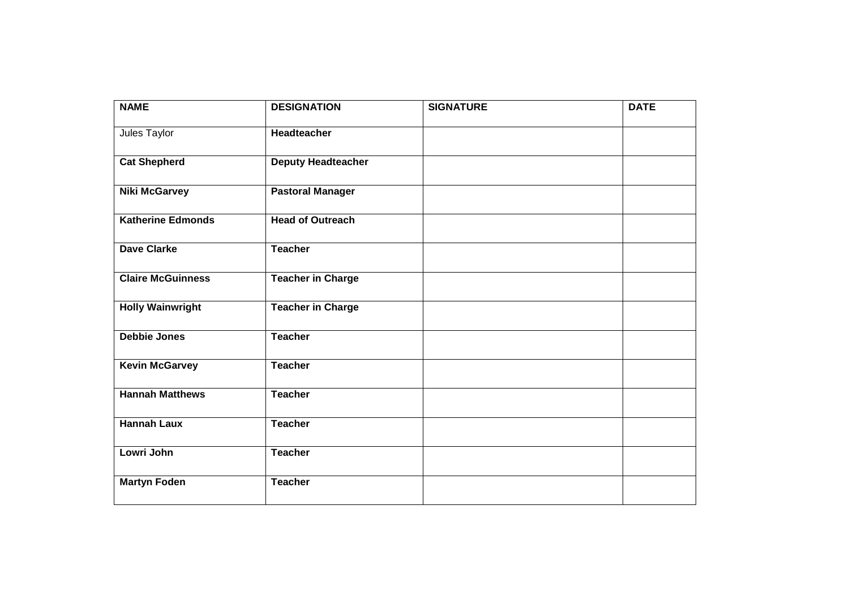| <b>NAME</b>              | <b>DESIGNATION</b>        | <b>SIGNATURE</b> | <b>DATE</b> |
|--------------------------|---------------------------|------------------|-------------|
| Jules Taylor             | <b>Headteacher</b>        |                  |             |
| <b>Cat Shepherd</b>      | <b>Deputy Headteacher</b> |                  |             |
| <b>Niki McGarvey</b>     | <b>Pastoral Manager</b>   |                  |             |
| <b>Katherine Edmonds</b> | <b>Head of Outreach</b>   |                  |             |
| <b>Dave Clarke</b>       | <b>Teacher</b>            |                  |             |
| <b>Claire McGuinness</b> | <b>Teacher in Charge</b>  |                  |             |
| <b>Holly Wainwright</b>  | <b>Teacher in Charge</b>  |                  |             |
| <b>Debbie Jones</b>      | <b>Teacher</b>            |                  |             |
| <b>Kevin McGarvey</b>    | <b>Teacher</b>            |                  |             |
| <b>Hannah Matthews</b>   | <b>Teacher</b>            |                  |             |
| <b>Hannah Laux</b>       | <b>Teacher</b>            |                  |             |
| Lowri John               | <b>Teacher</b>            |                  |             |
| <b>Martyn Foden</b>      | <b>Teacher</b>            |                  |             |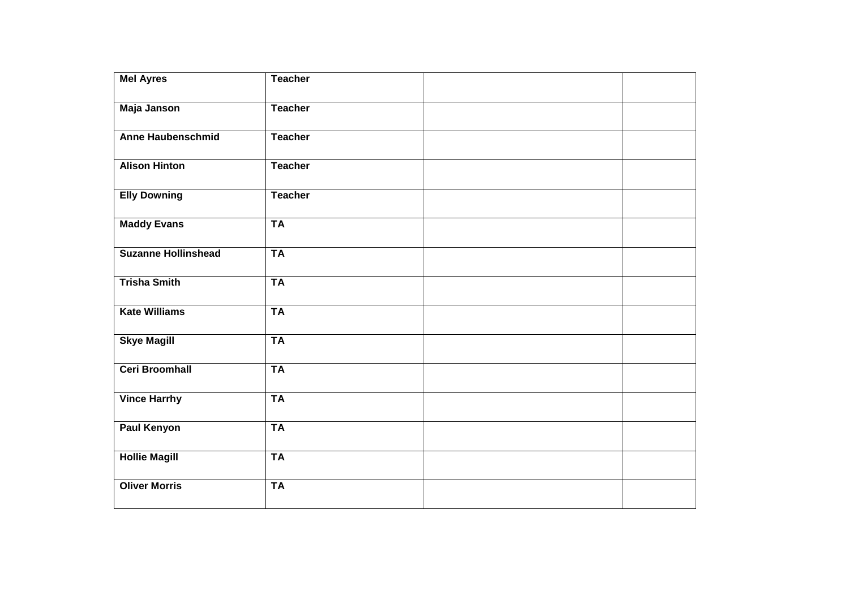| <b>Mel Ayres</b>           | <b>Teacher</b> |  |
|----------------------------|----------------|--|
| <b>Maja Janson</b>         | <b>Teacher</b> |  |
| <b>Anne Haubenschmid</b>   | <b>Teacher</b> |  |
| <b>Alison Hinton</b>       | <b>Teacher</b> |  |
| <b>Elly Downing</b>        | <b>Teacher</b> |  |
| <b>Maddy Evans</b>         | <b>TA</b>      |  |
| <b>Suzanne Hollinshead</b> | <b>TA</b>      |  |
| <b>Trisha Smith</b>        | <b>TA</b>      |  |
| <b>Kate Williams</b>       | <b>TA</b>      |  |
| <b>Skye Magill</b>         | <b>TA</b>      |  |
| <b>Ceri Broomhall</b>      | <b>TA</b>      |  |
| <b>Vince Harrhy</b>        | <b>TA</b>      |  |
| <b>Paul Kenyon</b>         | <b>TA</b>      |  |
| <b>Hollie Magill</b>       | <b>TA</b>      |  |
| <b>Oliver Morris</b>       | <b>TA</b>      |  |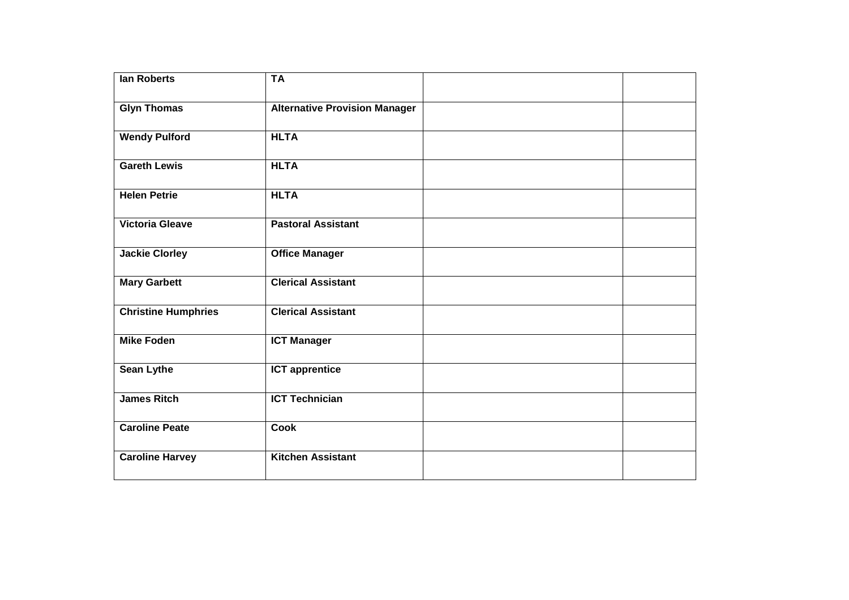| lan Roberts                | <b>TA</b>                            |  |
|----------------------------|--------------------------------------|--|
| <b>Glyn Thomas</b>         | <b>Alternative Provision Manager</b> |  |
| <b>Wendy Pulford</b>       | <b>HLTA</b>                          |  |
| <b>Gareth Lewis</b>        | <b>HLTA</b>                          |  |
| <b>Helen Petrie</b>        | <b>HLTA</b>                          |  |
| <b>Victoria Gleave</b>     | <b>Pastoral Assistant</b>            |  |
| <b>Jackie Clorley</b>      | <b>Office Manager</b>                |  |
| <b>Mary Garbett</b>        | <b>Clerical Assistant</b>            |  |
| <b>Christine Humphries</b> | <b>Clerical Assistant</b>            |  |
| <b>Mike Foden</b>          | <b>ICT Manager</b>                   |  |
| <b>Sean Lythe</b>          | <b>ICT apprentice</b>                |  |
| <b>James Ritch</b>         | <b>ICT Technician</b>                |  |
| <b>Caroline Peate</b>      | <b>Cook</b>                          |  |
| <b>Caroline Harvey</b>     | <b>Kitchen Assistant</b>             |  |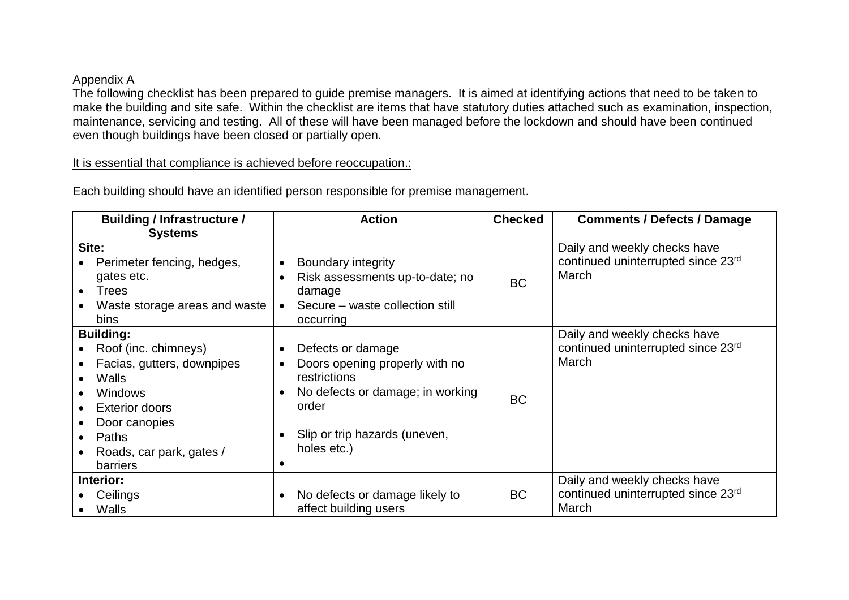## Appendix A

The following checklist has been prepared to guide premise managers. It is aimed at identifying actions that need to be taken to make the building and site safe. Within the checklist are items that have statutory duties attached such as examination, inspection, maintenance, servicing and testing. All of these will have been managed before the lockdown and should have been continued even though buildings have been closed or partially open.

It is essential that compliance is achieved before reoccupation.:

| <b>Building / Infrastructure /</b>                                                                                                                                                                                     | <b>Action</b>                                                                                                                                                                 | <b>Checked</b> | <b>Comments / Defects / Damage</b>                                          |
|------------------------------------------------------------------------------------------------------------------------------------------------------------------------------------------------------------------------|-------------------------------------------------------------------------------------------------------------------------------------------------------------------------------|----------------|-----------------------------------------------------------------------------|
| <b>Systems</b><br>Site:<br>Perimeter fencing, hedges,<br>gates etc.<br><b>Trees</b><br>$\bullet$<br>Waste storage areas and waste<br>bins                                                                              | <b>Boundary integrity</b><br>Risk assessments up-to-date; no<br>damage<br>Secure – waste collection still<br>occurring                                                        | <b>BC</b>      | Daily and weekly checks have<br>continued uninterrupted since 23rd<br>March |
| <b>Building:</b><br>Roof (inc. chimneys)<br>Facias, gutters, downpipes<br>Walls<br><b>Windows</b><br><b>Exterior doors</b><br>$\bullet$<br>Door canopies<br>Paths<br>$\bullet$<br>Roads, car park, gates /<br>barriers | Defects or damage<br>Doors opening properly with no<br>$\bullet$<br>restrictions<br>No defects or damage; in working<br>order<br>Slip or trip hazards (uneven,<br>holes etc.) | <b>BC</b>      | Daily and weekly checks have<br>continued uninterrupted since 23rd<br>March |
| Interior:<br>Ceilings<br>Walls                                                                                                                                                                                         | No defects or damage likely to<br>$\bullet$<br>affect building users                                                                                                          | <b>BC</b>      | Daily and weekly checks have<br>continued uninterrupted since 23rd<br>March |

Each building should have an identified person responsible for premise management.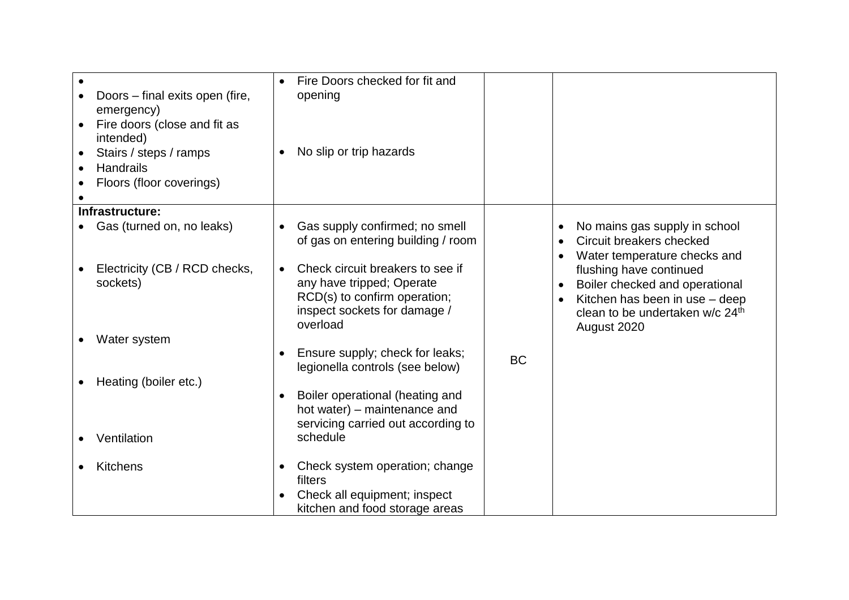| Doors – final exits open (fire,<br>emergency)<br>Fire doors (close and fit as<br>$\bullet$<br>intended)<br>Stairs / steps / ramps<br>Handrails<br>Floors (floor coverings) | Fire Doors checked for fit and<br>opening<br>No slip or trip hazards                                                                      |           |                                                                                                                                                           |
|----------------------------------------------------------------------------------------------------------------------------------------------------------------------------|-------------------------------------------------------------------------------------------------------------------------------------------|-----------|-----------------------------------------------------------------------------------------------------------------------------------------------------------|
| Infrastructure:                                                                                                                                                            |                                                                                                                                           |           |                                                                                                                                                           |
| Gas (turned on, no leaks)                                                                                                                                                  | Gas supply confirmed; no smell<br>of gas on entering building / room                                                                      |           | No mains gas supply in school<br>Circuit breakers checked<br>$\bullet$<br>Water temperature checks and                                                    |
| Electricity (CB / RCD checks,<br>sockets)                                                                                                                                  | Check circuit breakers to see if<br>any have tripped; Operate<br>RCD(s) to confirm operation;<br>inspect sockets for damage /<br>overload |           | flushing have continued<br>Boiler checked and operational<br>Kitchen has been in use - deep<br>clean to be undertaken w/c 24 <sup>th</sup><br>August 2020 |
| Water system                                                                                                                                                               |                                                                                                                                           |           |                                                                                                                                                           |
| Heating (boiler etc.)                                                                                                                                                      | Ensure supply; check for leaks;<br>legionella controls (see below)                                                                        | <b>BC</b> |                                                                                                                                                           |
| Ventilation                                                                                                                                                                | Boiler operational (heating and<br>hot water) - maintenance and<br>servicing carried out according to<br>schedule                         |           |                                                                                                                                                           |
|                                                                                                                                                                            |                                                                                                                                           |           |                                                                                                                                                           |
| <b>Kitchens</b>                                                                                                                                                            | Check system operation; change<br>$\bullet$<br>filters                                                                                    |           |                                                                                                                                                           |
|                                                                                                                                                                            | Check all equipment; inspect<br>kitchen and food storage areas                                                                            |           |                                                                                                                                                           |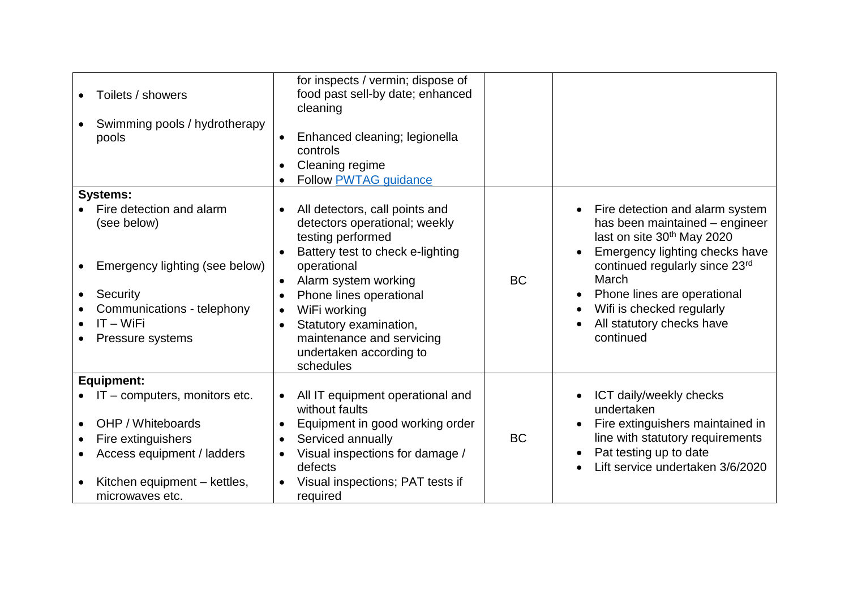| Toilets / showers<br>Swimming pools / hydrotherapy<br>pools                                                                                                         | for inspects / vermin; dispose of<br>food past sell-by date; enhanced<br>cleaning<br>Enhanced cleaning; legionella<br>controls<br>Cleaning regime<br>Follow PWTAG guidance                                                                                                                                                                       |           |                                                                                                                                                                                                                                                                                                              |
|---------------------------------------------------------------------------------------------------------------------------------------------------------------------|--------------------------------------------------------------------------------------------------------------------------------------------------------------------------------------------------------------------------------------------------------------------------------------------------------------------------------------------------|-----------|--------------------------------------------------------------------------------------------------------------------------------------------------------------------------------------------------------------------------------------------------------------------------------------------------------------|
| <b>Systems:</b>                                                                                                                                                     |                                                                                                                                                                                                                                                                                                                                                  |           |                                                                                                                                                                                                                                                                                                              |
| Fire detection and alarm<br>(see below)<br>Emergency lighting (see below)<br>Security<br>Communications - telephony<br>$IT - WiFi$<br>Pressure systems              | All detectors, call points and<br>$\bullet$<br>detectors operational; weekly<br>testing performed<br>Battery test to check e-lighting<br>operational<br>Alarm system working<br>$\bullet$<br>Phone lines operational<br>WiFi working<br>$\bullet$<br>Statutory examination,<br>maintenance and servicing<br>undertaken according to<br>schedules | <b>BC</b> | Fire detection and alarm system<br>$\bullet$<br>has been maintained – engineer<br>last on site 30th May 2020<br>Emergency lighting checks have<br>continued regularly since 23rd<br>March<br>Phone lines are operational<br>$\bullet$<br>Wifi is checked regularly<br>All statutory checks have<br>continued |
| Equipment:                                                                                                                                                          |                                                                                                                                                                                                                                                                                                                                                  |           |                                                                                                                                                                                                                                                                                                              |
| $\bullet$ IT – computers, monitors etc.<br>OHP / Whiteboards<br>Fire extinguishers<br>Access equipment / ladders<br>Kitchen equipment - kettles,<br>microwaves etc. | All IT equipment operational and<br>$\bullet$<br>without faults<br>Equipment in good working order<br>Serviced annually<br>$\bullet$<br>Visual inspections for damage /<br>defects<br>Visual inspections; PAT tests if<br>required                                                                                                               | <b>BC</b> | ICT daily/weekly checks<br>undertaken<br>Fire extinguishers maintained in<br>line with statutory requirements<br>Pat testing up to date<br>Lift service undertaken 3/6/2020                                                                                                                                  |